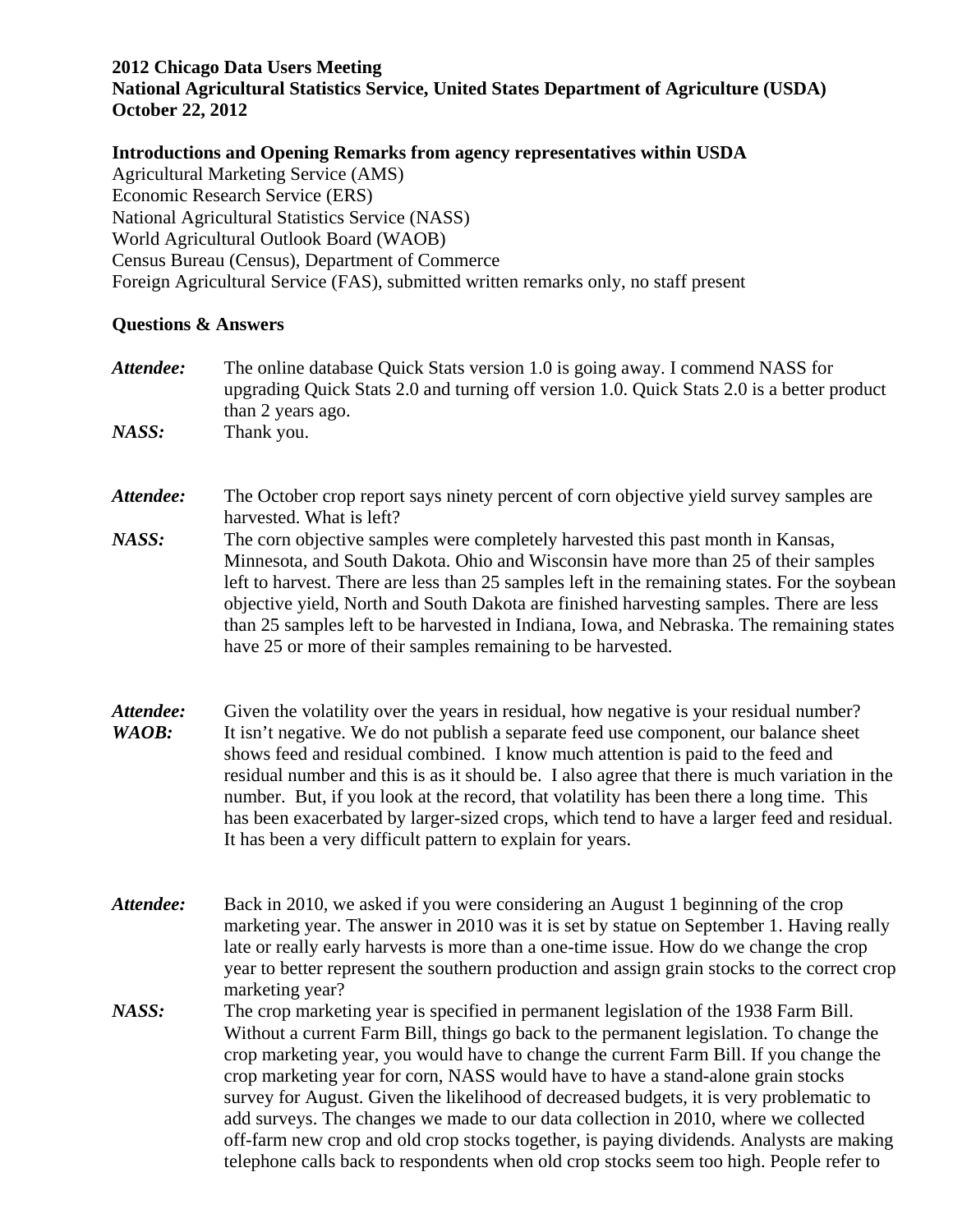## **2012 Chicago Data Users Meeting**

**National Agricultural Statistics Service, United States Department of Agriculture (USDA) October 22, 2012**

## **Introductions and Opening Remarks from agency representatives within USDA**

Agricultural Marketing Service (AMS) Economic Research Service (ERS) National Agricultural Statistics Service (NASS) World Agricultural Outlook Board (WAOB) Census Bureau (Census), Department of Commerce Foreign Agricultural Service (FAS), submitted written remarks only, no staff present

## **Questions & Answers**

- *Attendee:* The online database Quick Stats version 1.0 is going away. I commend NASS for upgrading Quick Stats 2.0 and turning off version 1.0. Quick Stats 2.0 is a better product than 2 years ago.
- *NASS:* Thank you.
- Attendee: The October crop report says ninety percent of corn objective yield survey samples are harvested. What is left?
- *NASS:* The corn objective samples were completely harvested this past month in Kansas, Minnesota, and South Dakota. Ohio and Wisconsin have more than 25 of their samples left to harvest. There are less than 25 samples left in the remaining states. For the soybean objective yield, North and South Dakota are finished harvesting samples. There are less than 25 samples left to be harvested in Indiana, Iowa, and Nebraska. The remaining states have 25 or more of their samples remaining to be harvested.
- Attendee: Given the volatility over the years in residual, how negative is your residual number? *WAOB*: It isn't negative. We do not publish a separate feed use component, our balance sheet shows feed and residual combined. I know much attention is paid to the feed and residual number and this is as it should be. I also agree that there is much variation in the number. But, if you look at the record, that volatility has been there a long time. This has been exacerbated by larger-sized crops, which tend to have a larger feed and residual. It has been a very difficult pattern to explain for years.
- *Attendee:* Back in 2010, we asked if you were considering an August 1 beginning of the crop marketing year. The answer in 2010 was it is set by statue on September 1. Having really late or really early harvests is more than a one-time issue. How do we change the crop year to better represent the southern production and assign grain stocks to the correct crop marketing year?
- *NASS:* The crop marketing year is specified in permanent legislation of the 1938 Farm Bill. Without a current Farm Bill, things go back to the permanent legislation. To change the crop marketing year, you would have to change the current Farm Bill. If you change the crop marketing year for corn, NASS would have to have a stand-alone grain stocks survey for August. Given the likelihood of decreased budgets, it is very problematic to add surveys. The changes we made to our data collection in 2010, where we collected off-farm new crop and old crop stocks together, is paying dividends. Analysts are making telephone calls back to respondents when old crop stocks seem too high. People refer to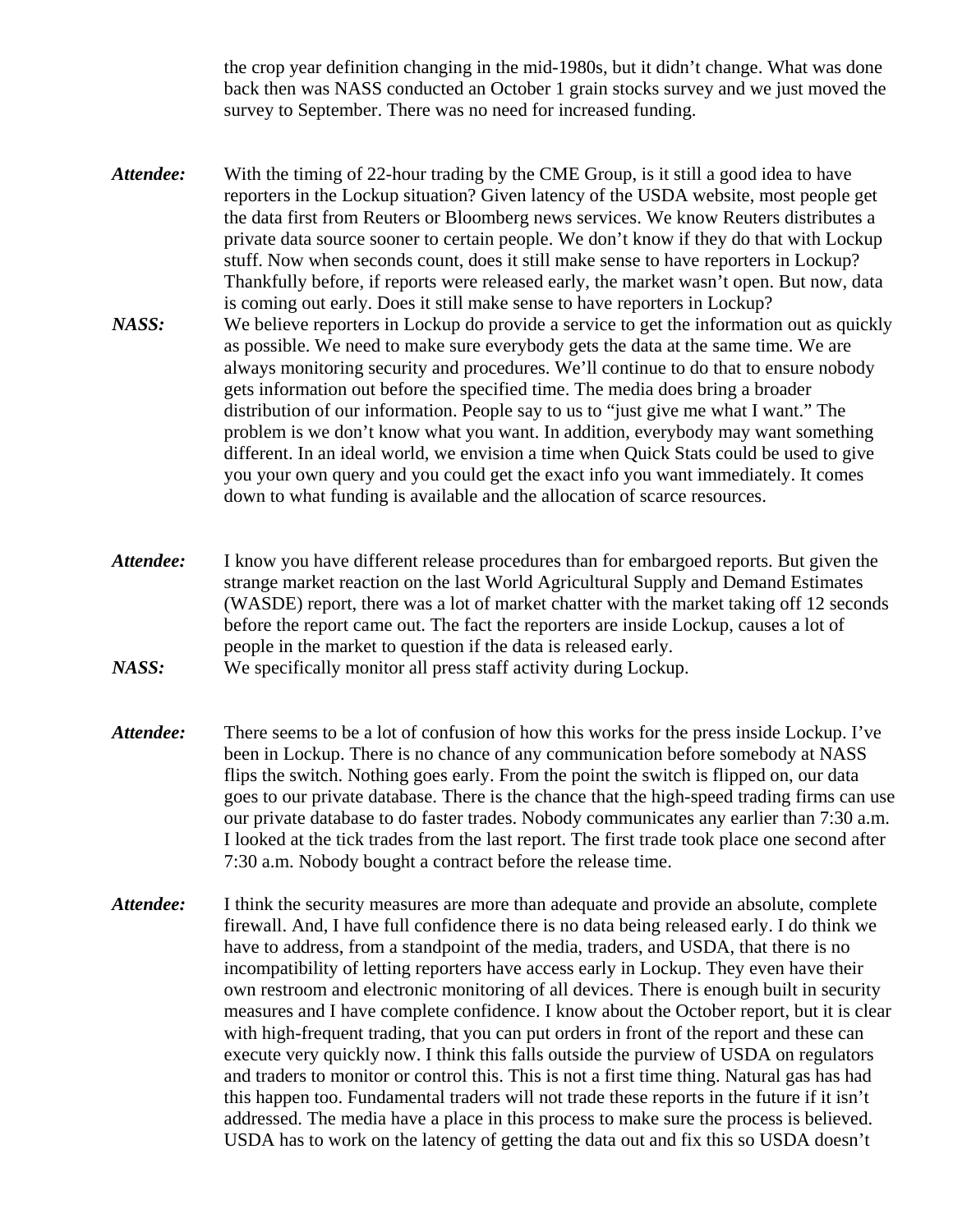the crop year definition changing in the mid-1980s, but it didn't change. What was done back then was NASS conducted an October 1 grain stocks survey and we just moved the survey to September. There was no need for increased funding.

- *Attendee:* With the timing of 22-hour trading by the CME Group, is it still a good idea to have reporters in the Lockup situation? Given latency of the USDA website, most people get the data first from Reuters or Bloomberg news services. We know Reuters distributes a private data source sooner to certain people. We don't know if they do that with Lockup stuff. Now when seconds count, does it still make sense to have reporters in Lockup? Thankfully before, if reports were released early, the market wasn't open. But now, data is coming out early. Does it still make sense to have reporters in Lockup? *NASS:* We believe reporters in Lockup do provide a service to get the information out as quickly as possible. We need to make sure everybody gets the data at the same time. We are always monitoring security and procedures. We'll continue to do that to ensure nobody gets information out before the specified time. The media does bring a broader distribution of our information. People say to us to "just give me what I want." The problem is we don't know what you want. In addition, everybody may want something different. In an ideal world, we envision a time when Quick Stats could be used to give you your own query and you could get the exact info you want immediately. It comes
- *Attendee:* I know you have different release procedures than for embargoed reports. But given the strange market reaction on the last World Agricultural Supply and Demand Estimates (WASDE) report, there was a lot of market chatter with the market taking off 12 seconds before the report came out. The fact the reporters are inside Lockup, causes a lot of people in the market to question if the data is released early.

down to what funding is available and the allocation of scarce resources.

- *Attendee:* There seems to be a lot of confusion of how this works for the press inside Lockup. I've been in Lockup. There is no chance of any communication before somebody at NASS flips the switch. Nothing goes early. From the point the switch is flipped on, our data goes to our private database. There is the chance that the high-speed trading firms can use our private database to do faster trades. Nobody communicates any earlier than 7:30 a.m. I looked at the tick trades from the last report. The first trade took place one second after 7:30 a.m. Nobody bought a contract before the release time.
- *Attendee:* I think the security measures are more than adequate and provide an absolute, complete firewall. And, I have full confidence there is no data being released early. I do think we have to address, from a standpoint of the media, traders, and USDA, that there is no incompatibility of letting reporters have access early in Lockup. They even have their own restroom and electronic monitoring of all devices. There is enough built in security measures and I have complete confidence. I know about the October report, but it is clear with high-frequent trading, that you can put orders in front of the report and these can execute very quickly now. I think this falls outside the purview of USDA on regulators and traders to monitor or control this. This is not a first time thing. Natural gas has had this happen too. Fundamental traders will not trade these reports in the future if it isn't addressed. The media have a place in this process to make sure the process is believed. USDA has to work on the latency of getting the data out and fix this so USDA doesn't

*NASS:* We specifically monitor all press staff activity during Lockup.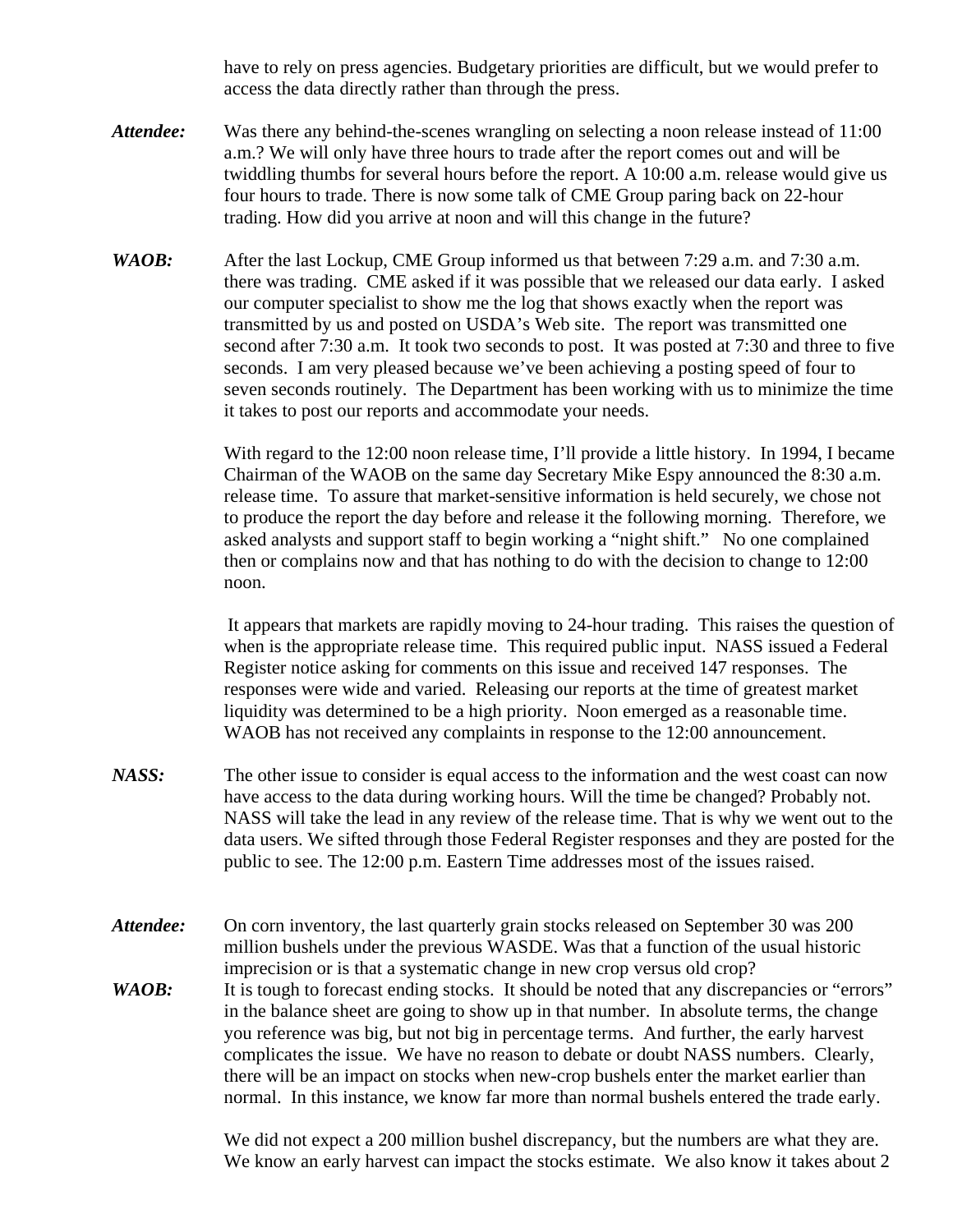have to rely on press agencies. Budgetary priorities are difficult, but we would prefer to access the data directly rather than through the press.

- *Attendee:* Was there any behind-the-scenes wrangling on selecting a noon release instead of 11:00 a.m.? We will only have three hours to trade after the report comes out and will be twiddling thumbs for several hours before the report. A 10:00 a.m. release would give us four hours to trade. There is now some talk of CME Group paring back on 22-hour trading. How did you arrive at noon and will this change in the future?
- *WAOB:* After the last Lockup, CME Group informed us that between 7:29 a.m. and 7:30 a.m. there was trading. CME asked if it was possible that we released our data early. I asked our computer specialist to show me the log that shows exactly when the report was transmitted by us and posted on USDA's Web site. The report was transmitted one second after 7:30 a.m. It took two seconds to post. It was posted at 7:30 and three to five seconds. I am very pleased because we've been achieving a posting speed of four to seven seconds routinely. The Department has been working with us to minimize the time it takes to post our reports and accommodate your needs.

With regard to the 12:00 noon release time, I'll provide a little history. In 1994, I became Chairman of the WAOB on the same day Secretary Mike Espy announced the 8:30 a.m. release time. To assure that market-sensitive information is held securely, we chose not to produce the report the day before and release it the following morning. Therefore, we asked analysts and support staff to begin working a "night shift." No one complained then or complains now and that has nothing to do with the decision to change to 12:00 noon.

It appears that markets are rapidly moving to 24-hour trading. This raises the question of when is the appropriate release time. This required public input. NASS issued a Federal Register notice asking for comments on this issue and received 147 responses. The responses were wide and varied. Releasing our reports at the time of greatest market liquidity was determined to be a high priority. Noon emerged as a reasonable time. WAOB has not received any complaints in response to the 12:00 announcement.

- *NASS:* The other issue to consider is equal access to the information and the west coast can now have access to the data during working hours. Will the time be changed? Probably not. NASS will take the lead in any review of the release time. That is why we went out to the data users. We sifted through those Federal Register responses and they are posted for the public to see. The 12:00 p.m. Eastern Time addresses most of the issues raised.
- Attendee: On corn inventory, the last quarterly grain stocks released on September 30 was 200 million bushels under the previous WASDE. Was that a function of the usual historic imprecision or is that a systematic change in new crop versus old crop?
- *WAOB*: It is tough to forecast ending stocks. It should be noted that any discrepancies or "errors" in the balance sheet are going to show up in that number. In absolute terms, the change you reference was big, but not big in percentage terms. And further, the early harvest complicates the issue. We have no reason to debate or doubt NASS numbers. Clearly, there will be an impact on stocks when new-crop bushels enter the market earlier than normal. In this instance, we know far more than normal bushels entered the trade early.

We did not expect a 200 million bushel discrepancy, but the numbers are what they are. We know an early harvest can impact the stocks estimate. We also know it takes about 2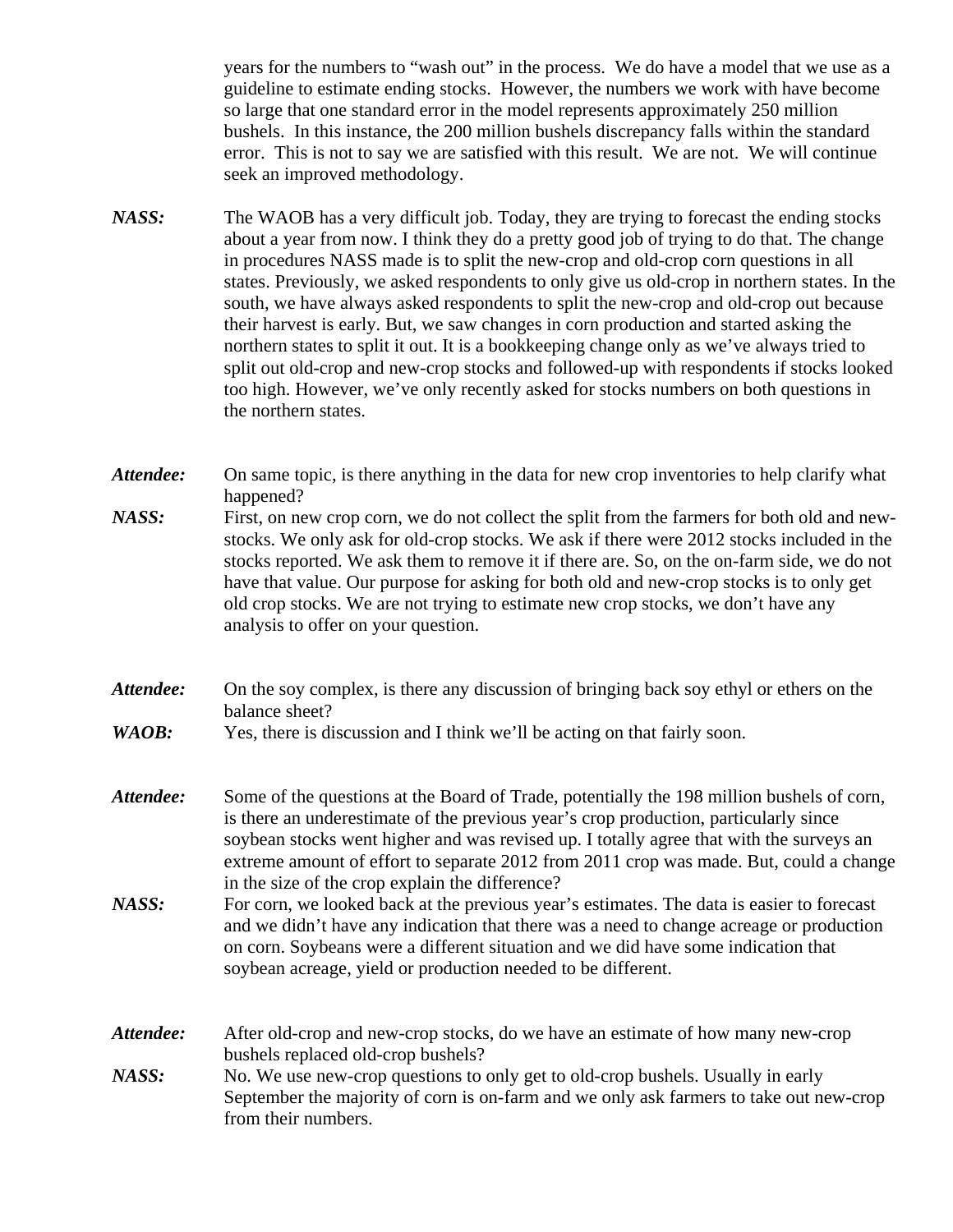years for the numbers to "wash out" in the process. We do have a model that we use as a guideline to estimate ending stocks. However, the numbers we work with have become so large that one standard error in the model represents approximately 250 million bushels. In this instance, the 200 million bushels discrepancy falls within the standard error. This is not to say we are satisfied with this result. We are not. We will continue seek an improved methodology.

- *NASS:* The WAOB has a very difficult job. Today, they are trying to forecast the ending stocks about a year from now. I think they do a pretty good job of trying to do that. The change in procedures NASS made is to split the new-crop and old-crop corn questions in all states. Previously, we asked respondents to only give us old-crop in northern states. In the south, we have always asked respondents to split the new-crop and old-crop out because their harvest is early. But, we saw changes in corn production and started asking the northern states to split it out. It is a bookkeeping change only as we've always tried to split out old-crop and new-crop stocks and followed-up with respondents if stocks looked too high. However, we've only recently asked for stocks numbers on both questions in the northern states.
- *Attendee:* On same topic, is there anything in the data for new crop inventories to help clarify what happened? *NASS:* First, on new crop corn, we do not collect the split from the farmers for both old and newstocks. We only ask for old-crop stocks. We ask if there were 2012 stocks included in the stocks reported. We ask them to remove it if there are. So, on the on-farm side, we do not have that value. Our purpose for asking for both old and new-crop stocks is to only get old crop stocks. We are not trying to estimate new crop stocks, we don't have any analysis to offer on your question.
- *Attendee:* On the soy complex, is there any discussion of bringing back soy ethyl or ethers on the balance sheet?
- *WAOB*: Yes, there is discussion and I think we'll be acting on that fairly soon.
- *Attendee:* Some of the questions at the Board of Trade, potentially the 198 million bushels of corn, is there an underestimate of the previous year's crop production, particularly since soybean stocks went higher and was revised up. I totally agree that with the surveys an extreme amount of effort to separate 2012 from 2011 crop was made. But, could a change in the size of the crop explain the difference?
- *NASS:* For corn, we looked back at the previous year's estimates. The data is easier to forecast and we didn't have any indication that there was a need to change acreage or production on corn. Soybeans were a different situation and we did have some indication that soybean acreage, yield or production needed to be different.
- *Attendee:* After old-crop and new-crop stocks, do we have an estimate of how many new-crop bushels replaced old-crop bushels?
- *NASS:* No. We use new-crop questions to only get to old-crop bushels. Usually in early September the majority of corn is on-farm and we only ask farmers to take out new-crop from their numbers.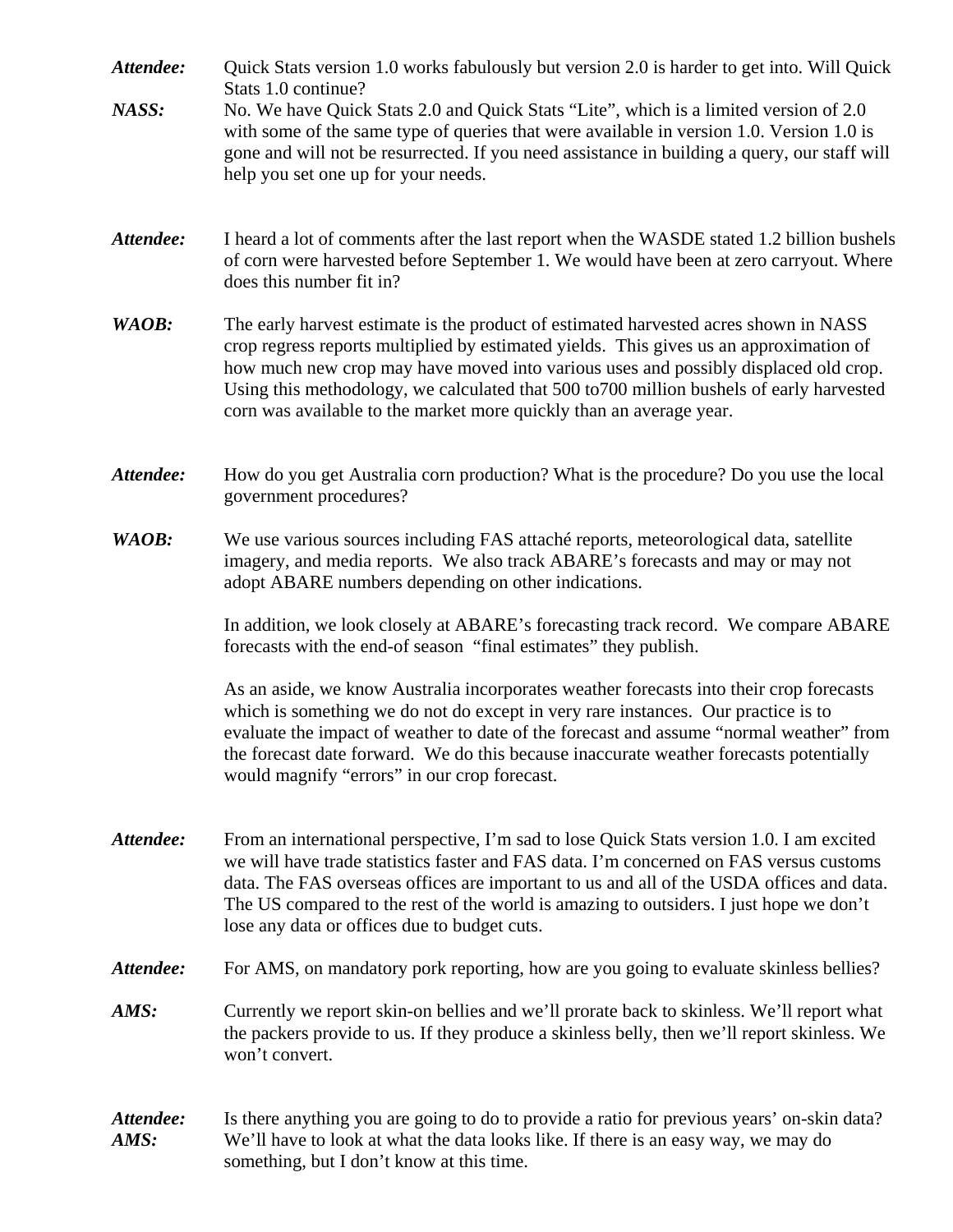- *Attendee:* Quick Stats version 1.0 works fabulously but version 2.0 is harder to get into. Will Quick Stats 1.0 continue?
- *NASS:* No. We have Quick Stats 2.0 and Quick Stats "Lite", which is a limited version of 2.0 with some of the same type of queries that were available in version 1.0. Version 1.0 is gone and will not be resurrected. If you need assistance in building a query, our staff will help you set one up for your needs.
- *Attendee:* I heard a lot of comments after the last report when the WASDE stated 1.2 billion bushels of corn were harvested before September 1. We would have been at zero carryout. Where does this number fit in?
- *WAOB:* The early harvest estimate is the product of estimated harvested acres shown in NASS crop regress reports multiplied by estimated yields. This gives us an approximation of how much new crop may have moved into various uses and possibly displaced old crop. Using this methodology, we calculated that 500 to700 million bushels of early harvested corn was available to the market more quickly than an average year.
- *Attendee:* How do you get Australia corn production? What is the procedure? Do you use the local government procedures?
- *WAOB:* We use various sources including FAS attaché reports, meteorological data, satellite imagery, and media reports. We also track ABARE's forecasts and may or may not adopt ABARE numbers depending on other indications.

In addition, we look closely at ABARE's forecasting track record. We compare ABARE forecasts with the end-of season "final estimates" they publish.

As an aside, we know Australia incorporates weather forecasts into their crop forecasts which is something we do not do except in very rare instances. Our practice is to evaluate the impact of weather to date of the forecast and assume "normal weather" from the forecast date forward. We do this because inaccurate weather forecasts potentially would magnify "errors" in our crop forecast.

- *Attendee:* From an international perspective, I'm sad to lose Quick Stats version 1.0. I am excited we will have trade statistics faster and FAS data. I'm concerned on FAS versus customs data. The FAS overseas offices are important to us and all of the USDA offices and data. The US compared to the rest of the world is amazing to outsiders. I just hope we don't lose any data or offices due to budget cuts.
- Attendee: For AMS, on mandatory pork reporting, how are you going to evaluate skinless bellies?
- *AMS:* Currently we report skin-on bellies and we'll prorate back to skinless. We'll report what the packers provide to us. If they produce a skinless belly, then we'll report skinless. We won't convert.

*Attendee:* Is there anything you are going to do to provide a ratio for previous years' on-skin data? *AMS:* We'll have to look at what the data looks like. If there is an easy way, we may do something, but I don't know at this time.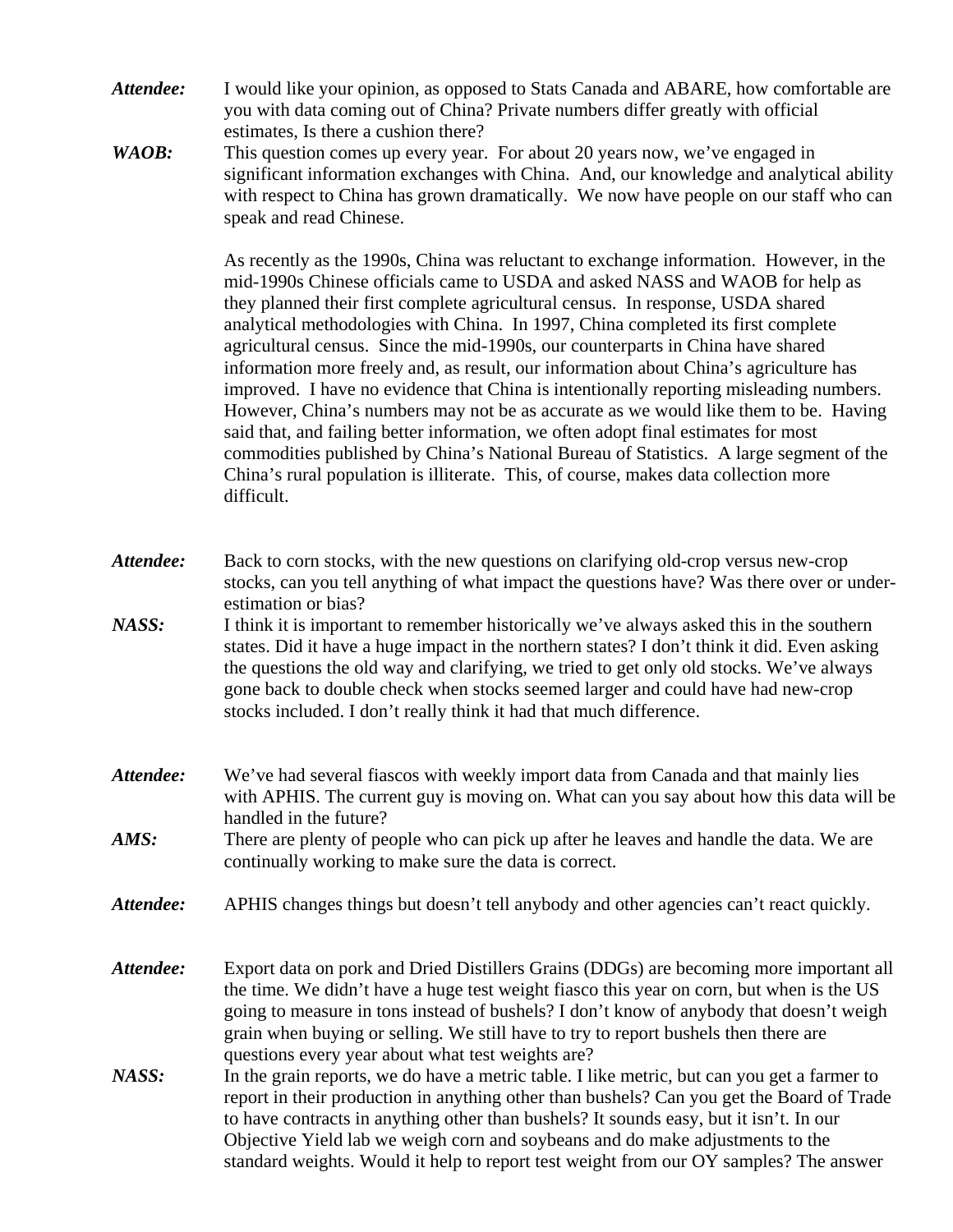- *Attendee:* I would like your opinion, as opposed to Stats Canada and ABARE, how comfortable are you with data coming out of China? Private numbers differ greatly with official estimates, Is there a cushion there?
- *WAOB*: This question comes up every year. For about 20 years now, we've engaged in significant information exchanges with China. And, our knowledge and analytical ability with respect to China has grown dramatically. We now have people on our staff who can speak and read Chinese.

As recently as the 1990s, China was reluctant to exchange information. However, in the mid-1990s Chinese officials came to USDA and asked NASS and WAOB for help as they planned their first complete agricultural census. In response, USDA shared analytical methodologies with China. In 1997, China completed its first complete agricultural census. Since the mid-1990s, our counterparts in China have shared information more freely and, as result, our information about China's agriculture has improved. I have no evidence that China is intentionally reporting misleading numbers. However, China's numbers may not be as accurate as we would like them to be. Having said that, and failing better information, we often adopt final estimates for most commodities published by China's National Bureau of Statistics. A large segment of the China's rural population is illiterate. This, of course, makes data collection more difficult.

- *Attendee:* Back to corn stocks, with the new questions on clarifying old-crop versus new-crop stocks, can you tell anything of what impact the questions have? Was there over or underestimation or bias?
- *NASS:* I think it is important to remember historically we've always asked this in the southern states. Did it have a huge impact in the northern states? I don't think it did. Even asking the questions the old way and clarifying, we tried to get only old stocks. We've always gone back to double check when stocks seemed larger and could have had new-crop stocks included. I don't really think it had that much difference.
- *Attendee:* We've had several fiascos with weekly import data from Canada and that mainly lies with APHIS. The current guy is moving on. What can you say about how this data will be handled in the future?
- *AMS:* There are plenty of people who can pick up after he leaves and handle the data. We are continually working to make sure the data is correct.
- *Attendee:* APHIS changes things but doesn't tell anybody and other agencies can't react quickly.
- *Attendee:* Export data on pork and Dried Distillers Grains (DDGs) are becoming more important all the time. We didn't have a huge test weight fiasco this year on corn, but when is the US going to measure in tons instead of bushels? I don't know of anybody that doesn't weigh grain when buying or selling. We still have to try to report bushels then there are questions every year about what test weights are?
- *NASS:* In the grain reports, we do have a metric table. I like metric, but can you get a farmer to report in their production in anything other than bushels? Can you get the Board of Trade to have contracts in anything other than bushels? It sounds easy, but it isn't. In our Objective Yield lab we weigh corn and soybeans and do make adjustments to the standard weights. Would it help to report test weight from our OY samples? The answer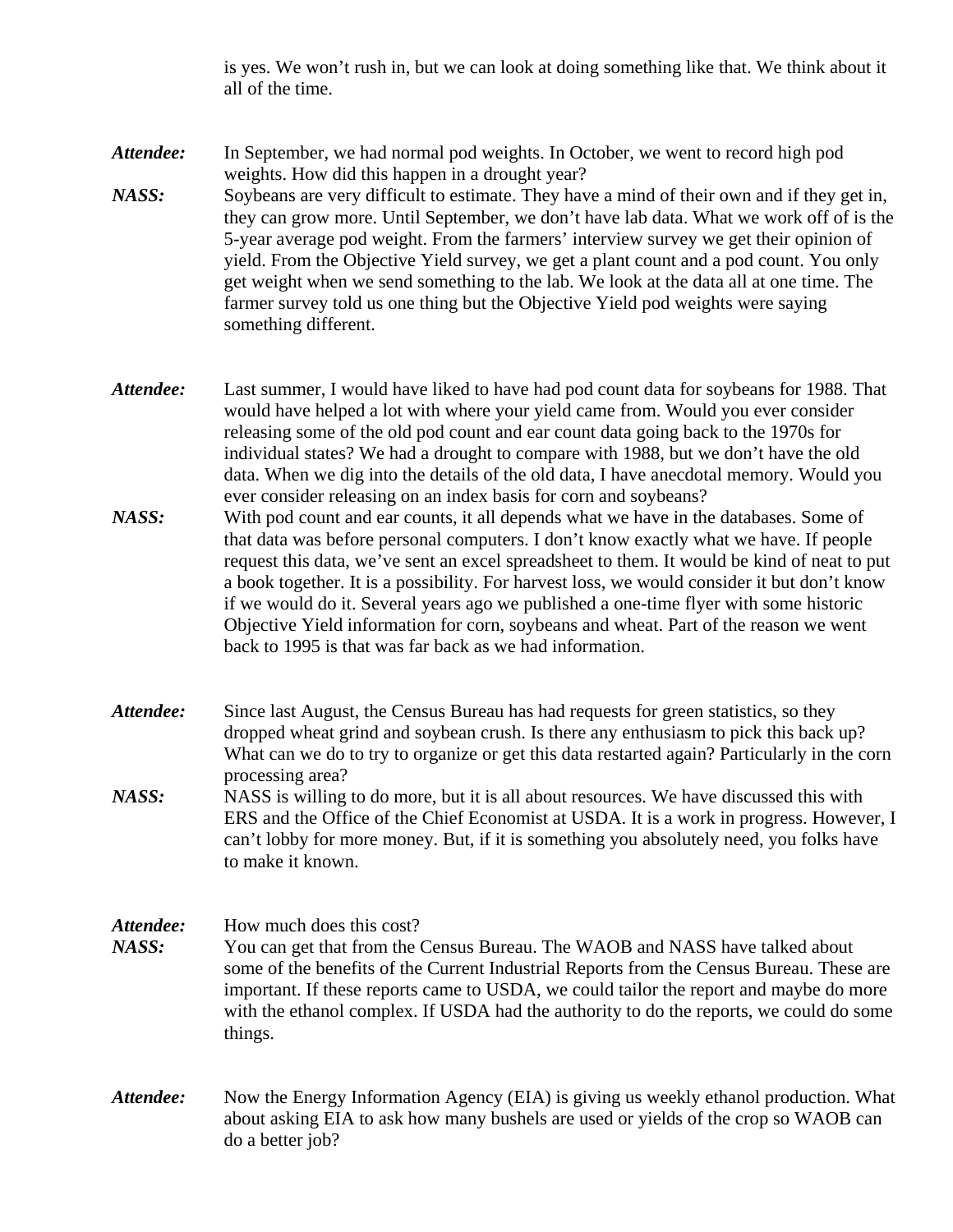is yes. We won't rush in, but we can look at doing something like that. We think about it all of the time.

- *Attendee:* In September, we had normal pod weights. In October, we went to record high pod weights. How did this happen in a drought year?
- *NASS:* Soybeans are very difficult to estimate. They have a mind of their own and if they get in, they can grow more. Until September, we don't have lab data. What we work off of is the 5-year average pod weight. From the farmers' interview survey we get their opinion of yield. From the Objective Yield survey, we get a plant count and a pod count. You only get weight when we send something to the lab. We look at the data all at one time. The farmer survey told us one thing but the Objective Yield pod weights were saying something different.
- *Attendee:* Last summer, I would have liked to have had pod count data for soybeans for 1988. That would have helped a lot with where your yield came from. Would you ever consider releasing some of the old pod count and ear count data going back to the 1970s for individual states? We had a drought to compare with 1988, but we don't have the old data. When we dig into the details of the old data, I have anecdotal memory. Would you ever consider releasing on an index basis for corn and soybeans?
- *NASS:* With pod count and ear counts, it all depends what we have in the databases. Some of that data was before personal computers. I don't know exactly what we have. If people request this data, we've sent an excel spreadsheet to them. It would be kind of neat to put a book together. It is a possibility. For harvest loss, we would consider it but don't know if we would do it. Several years ago we published a one-time flyer with some historic Objective Yield information for corn, soybeans and wheat. Part of the reason we went back to 1995 is that was far back as we had information.
- *Attendee:* Since last August, the Census Bureau has had requests for green statistics, so they dropped wheat grind and soybean crush. Is there any enthusiasm to pick this back up? What can we do to try to organize or get this data restarted again? Particularly in the corn processing area?
- *NASS:* NASS is willing to do more, but it is all about resources. We have discussed this with ERS and the Office of the Chief Economist at USDA. It is a work in progress. However, I can't lobby for more money. But, if it is something you absolutely need, you folks have to make it known.
- Attendee: How much does this cost? *NASS:* You can get that from the Census Bureau. The WAOB and NASS have talked about some of the benefits of the Current Industrial Reports from the Census Bureau. These are important. If these reports came to USDA, we could tailor the report and maybe do more with the ethanol complex. If USDA had the authority to do the reports, we could do some things.
- *Attendee:* Now the Energy Information Agency (EIA) is giving us weekly ethanol production. What about asking EIA to ask how many bushels are used or yields of the crop so WAOB can do a better job?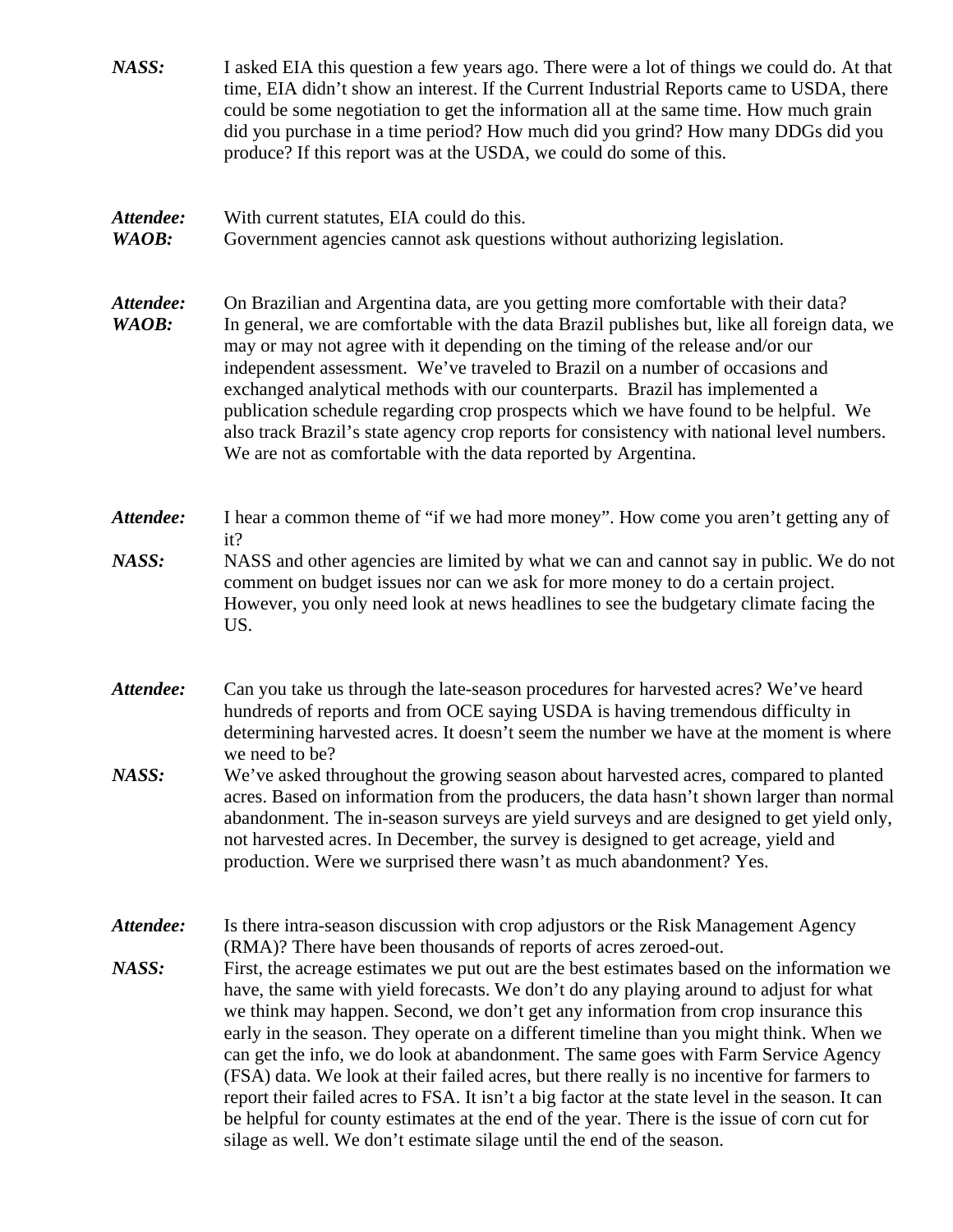| NASS:              | I asked EIA this question a few years ago. There were a lot of things we could do. At that<br>time, EIA didn't show an interest. If the Current Industrial Reports came to USDA, there<br>could be some negotiation to get the information all at the same time. How much grain<br>did you purchase in a time period? How much did you grind? How many DDGs did you<br>produce? If this report was at the USDA, we could do some of this.                                                                                                                                                                                                                                                                                                                                                                                             |
|--------------------|---------------------------------------------------------------------------------------------------------------------------------------------------------------------------------------------------------------------------------------------------------------------------------------------------------------------------------------------------------------------------------------------------------------------------------------------------------------------------------------------------------------------------------------------------------------------------------------------------------------------------------------------------------------------------------------------------------------------------------------------------------------------------------------------------------------------------------------|
| Attendee:<br>WAOB: | With current statutes, EIA could do this.<br>Government agencies cannot ask questions without authorizing legislation.                                                                                                                                                                                                                                                                                                                                                                                                                                                                                                                                                                                                                                                                                                                |
| Attendee:<br>WAOB: | On Brazilian and Argentina data, are you getting more comfortable with their data?<br>In general, we are comfortable with the data Brazil publishes but, like all foreign data, we<br>may or may not agree with it depending on the timing of the release and/or our<br>independent assessment. We've traveled to Brazil on a number of occasions and<br>exchanged analytical methods with our counterparts. Brazil has implemented a<br>publication schedule regarding crop prospects which we have found to be helpful. We<br>also track Brazil's state agency crop reports for consistency with national level numbers.<br>We are not as comfortable with the data reported by Argentina.                                                                                                                                          |
| Attendee:          | I hear a common theme of "if we had more money". How come you aren't getting any of<br>it?                                                                                                                                                                                                                                                                                                                                                                                                                                                                                                                                                                                                                                                                                                                                            |
| NASS:              | NASS and other agencies are limited by what we can and cannot say in public. We do not<br>comment on budget issues nor can we ask for more money to do a certain project.<br>However, you only need look at news headlines to see the budgetary climate facing the<br>US.                                                                                                                                                                                                                                                                                                                                                                                                                                                                                                                                                             |
| Attendee:          | Can you take us through the late-season procedures for harvested acres? We've heard<br>hundreds of reports and from OCE saying USDA is having tremendous difficulty in<br>determining harvested acres. It doesn't seem the number we have at the moment is where<br>we need to be?                                                                                                                                                                                                                                                                                                                                                                                                                                                                                                                                                    |
| NASS:              | We've asked throughout the growing season about harvested acres, compared to planted<br>acres. Based on information from the producers, the data hasn't shown larger than normal<br>abandonment. The in-season surveys are yield surveys and are designed to get yield only,<br>not harvested acres. In December, the survey is designed to get acreage, yield and<br>production. Were we surprised there wasn't as much abandonment? Yes.                                                                                                                                                                                                                                                                                                                                                                                            |
| Attendee:          | Is there intra-season discussion with crop adjustors or the Risk Management Agency<br>(RMA)? There have been thousands of reports of acres zeroed-out.                                                                                                                                                                                                                                                                                                                                                                                                                                                                                                                                                                                                                                                                                |
| NASS:              | First, the acreage estimates we put out are the best estimates based on the information we<br>have, the same with yield forecasts. We don't do any playing around to adjust for what<br>we think may happen. Second, we don't get any information from crop insurance this<br>early in the season. They operate on a different timeline than you might think. When we<br>can get the info, we do look at abandonment. The same goes with Farm Service Agency<br>(FSA) data. We look at their failed acres, but there really is no incentive for farmers to<br>report their failed acres to FSA. It isn't a big factor at the state level in the season. It can<br>be helpful for county estimates at the end of the year. There is the issue of corn cut for<br>silage as well. We don't estimate silage until the end of the season. |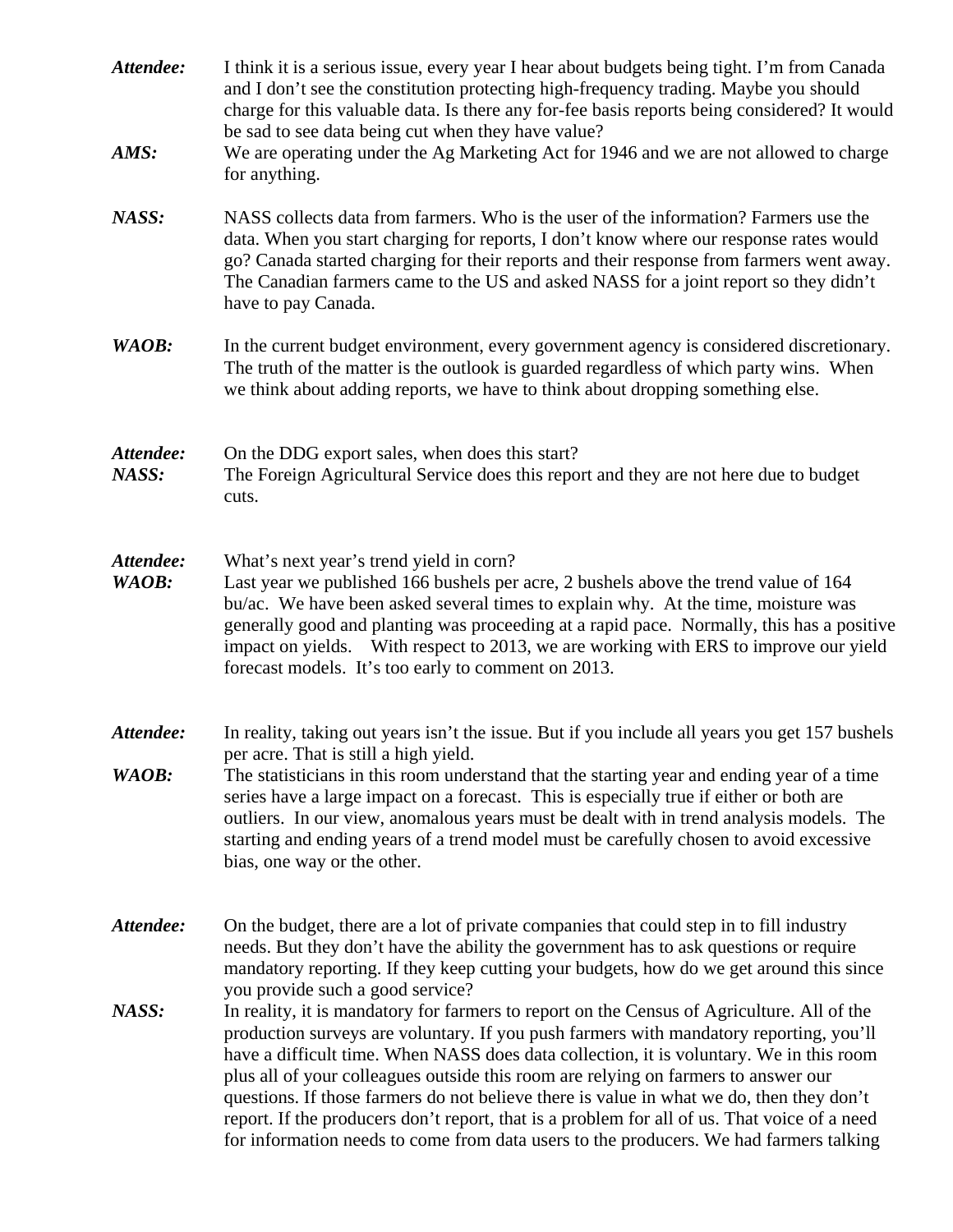| Attendee:<br>AMS:  | I think it is a serious issue, every year I hear about budgets being tight. I'm from Canada<br>and I don't see the constitution protecting high-frequency trading. Maybe you should<br>charge for this valuable data. Is there any for-fee basis reports being considered? It would<br>be sad to see data being cut when they have value?<br>We are operating under the Ag Marketing Act for 1946 and we are not allowed to charge<br>for anything.                                                                                                                                                                                                                                                                                                                                                                                                                                                                                                                            |
|--------------------|--------------------------------------------------------------------------------------------------------------------------------------------------------------------------------------------------------------------------------------------------------------------------------------------------------------------------------------------------------------------------------------------------------------------------------------------------------------------------------------------------------------------------------------------------------------------------------------------------------------------------------------------------------------------------------------------------------------------------------------------------------------------------------------------------------------------------------------------------------------------------------------------------------------------------------------------------------------------------------|
| NASS:              | NASS collects data from farmers. Who is the user of the information? Farmers use the<br>data. When you start charging for reports, I don't know where our response rates would<br>go? Canada started charging for their reports and their response from farmers went away.<br>The Canadian farmers came to the US and asked NASS for a joint report so they didn't<br>have to pay Canada.                                                                                                                                                                                                                                                                                                                                                                                                                                                                                                                                                                                      |
| WAOB:              | In the current budget environment, every government agency is considered discretionary.<br>The truth of the matter is the outlook is guarded regardless of which party wins. When<br>we think about adding reports, we have to think about dropping something else.                                                                                                                                                                                                                                                                                                                                                                                                                                                                                                                                                                                                                                                                                                            |
| Attendee:<br>NASS: | On the DDG export sales, when does this start?<br>The Foreign Agricultural Service does this report and they are not here due to budget<br>cuts.                                                                                                                                                                                                                                                                                                                                                                                                                                                                                                                                                                                                                                                                                                                                                                                                                               |
| Attendee:<br>WAOB: | What's next year's trend yield in corn?<br>Last year we published 166 bushels per acre, 2 bushels above the trend value of 164<br>bu/ac. We have been asked several times to explain why. At the time, moisture was<br>generally good and planting was proceeding at a rapid pace. Normally, this has a positive<br>impact on yields. With respect to 2013, we are working with ERS to improve our yield<br>forecast models. It's too early to comment on 2013.                                                                                                                                                                                                                                                                                                                                                                                                                                                                                                                |
| Attendee:<br>WAOB: | In reality, taking out years isn't the issue. But if you include all years you get 157 bushels<br>per acre. That is still a high yield.<br>The statisticians in this room understand that the starting year and ending year of a time<br>series have a large impact on a forecast. This is especially true if either or both are<br>outliers. In our view, anomalous years must be dealt with in trend analysis models. The<br>starting and ending years of a trend model must be carefully chosen to avoid excessive<br>bias, one way or the other.                                                                                                                                                                                                                                                                                                                                                                                                                           |
| Attendee:<br>NASS: | On the budget, there are a lot of private companies that could step in to fill industry<br>needs. But they don't have the ability the government has to ask questions or require<br>mandatory reporting. If they keep cutting your budgets, how do we get around this since<br>you provide such a good service?<br>In reality, it is mandatory for farmers to report on the Census of Agriculture. All of the<br>production surveys are voluntary. If you push farmers with mandatory reporting, you'll<br>have a difficult time. When NASS does data collection, it is voluntary. We in this room<br>plus all of your colleagues outside this room are relying on farmers to answer our<br>questions. If those farmers do not believe there is value in what we do, then they don't<br>report. If the producers don't report, that is a problem for all of us. That voice of a need<br>for information needs to come from data users to the producers. We had farmers talking |